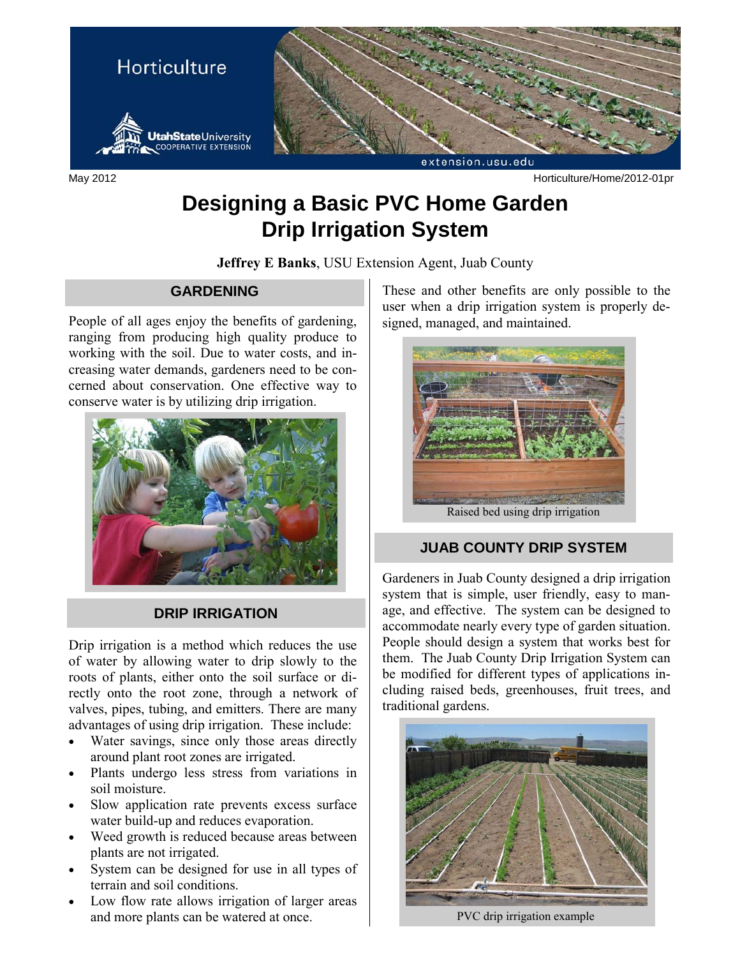

May 2012 Horticulture/Home/2012-01pr

# **Designing a Basic PVC Home Garden Drip Irrigation System**

**Jeffrey E Banks**, USU Extension Agent, Juab County

#### **GARDENING**

People of all ages enjoy the benefits of gardening, ranging from producing high quality produce to working with the soil. Due to water costs, and increasing water demands, gardeners need to be concerned about conservation. One effective way to conserve water is by utilizing drip irrigation.



### **DRIP IRRIGATION**

Drip irrigation is a method which reduces the use of water by allowing water to drip slowly to the roots of plants, either onto the soil surface or directly onto the root zone, through a network of valves, pipes, tubing, and emitters. There are many advantages of using drip irrigation. These include:

- Water savings, since only those areas directly around plant root zones are irrigated.
- Plants undergo less stress from variations in soil moisture.
- Slow application rate prevents excess surface water build-up and reduces evaporation.
- Weed growth is reduced because areas between plants are not irrigated.
- System can be designed for use in all types of terrain and soil conditions.
- Low flow rate allows irrigation of larger areas and more plants can be watered at once.

These and other benefits are only possible to the user when a drip irrigation system is properly designed, managed, and maintained.



Raised bed using drip irrigation

### **JUAB COUNTY DRIP SYSTEM**

Gardeners in Juab County designed a drip irrigation system that is simple, user friendly, easy to manage, and effective. The system can be designed to accommodate nearly every type of garden situation. People should design a system that works best for them. The Juab County Drip Irrigation System can be modified for different types of applications including raised beds, greenhouses, fruit trees, and traditional gardens.



PVC drip irrigation example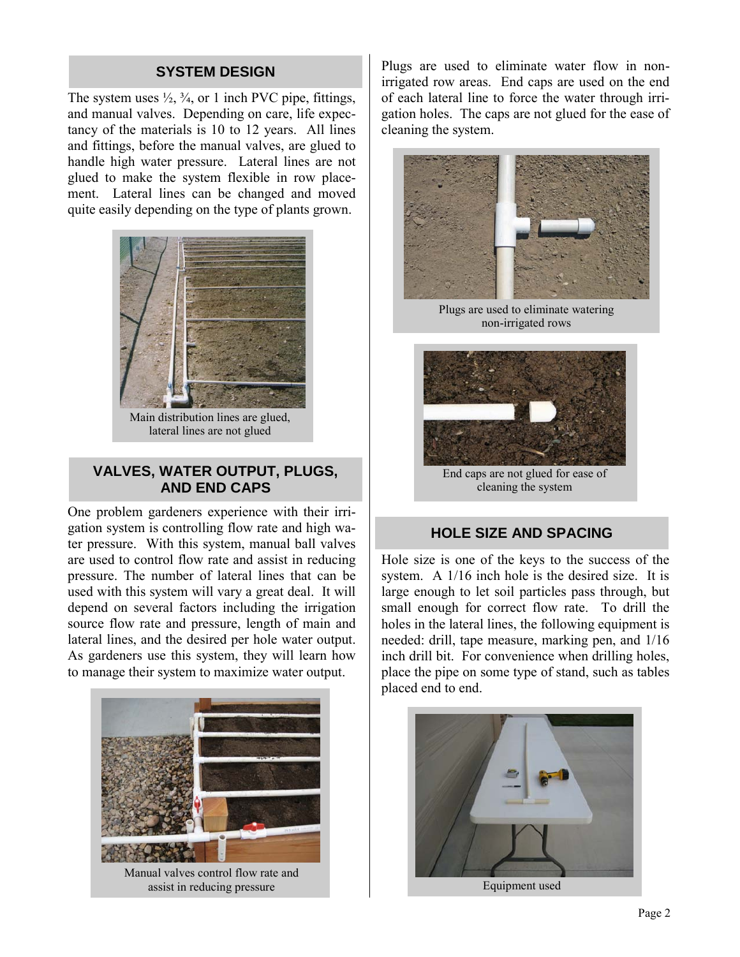#### **SYSTEM DESIGN**

The system uses  $\frac{1}{2}$ ,  $\frac{3}{4}$ , or 1 inch PVC pipe, fittings, and manual valves. Depending on care, life expectancy of the materials is 10 to 12 years. All lines and fittings, before the manual valves, are glued to handle high water pressure. Lateral lines are not glued to make the system flexible in row placement. Lateral lines can be changed and moved quite easily depending on the type of plants grown.



Main distribution lines are glued, lateral lines are not glued

#### **VALVES, WATER OUTPUT, PLUGS, AND END CAPS**

One problem gardeners experience with their irrigation system is controlling flow rate and high water pressure. With this system, manual ball valves are used to control flow rate and assist in reducing pressure. The number of lateral lines that can be used with this system will vary a great deal. It will depend on several factors including the irrigation source flow rate and pressure, length of main and lateral lines, and the desired per hole water output. As gardeners use this system, they will learn how to manage their system to maximize water output.



Plugs are used to eliminate water flow in nonirrigated row areas. End caps are used on the end of each lateral line to force the water through irrigation holes. The caps are not glued for the ease of cleaning the system.



Plugs are used to eliminate watering non-irrigated rows



End caps are not glued for ease of cleaning the system

#### **HOLE SIZE AND SPACING**

Hole size is one of the keys to the success of the system. A 1/16 inch hole is the desired size. It is large enough to let soil particles pass through, but small enough for correct flow rate. To drill the holes in the lateral lines, the following equipment is needed: drill, tape measure, marking pen, and 1/16 inch drill bit. For convenience when drilling holes, place the pipe on some type of stand, such as tables placed end to end.



Page 2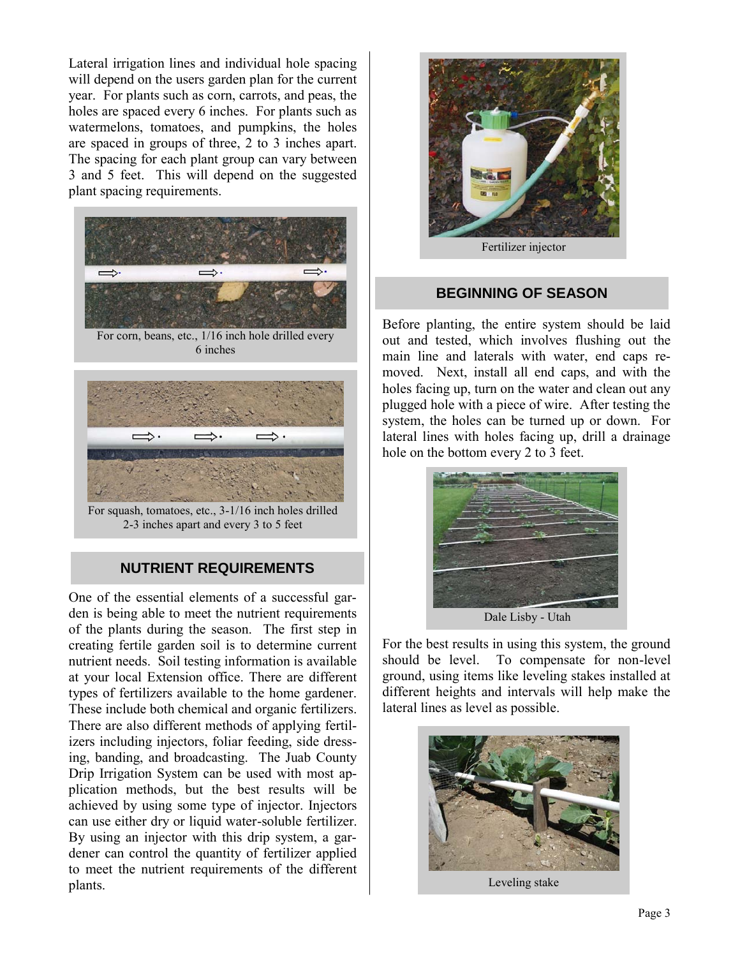Lateral irrigation lines and individual hole spacing will depend on the users garden plan for the current year. For plants such as corn, carrots, and peas, the holes are spaced every 6 inches. For plants such as watermelons, tomatoes, and pumpkins, the holes are spaced in groups of three, 2 to 3 inches apart. The spacing for each plant group can vary between 3 and 5 feet. This will depend on the suggested plant spacing requirements.



For corn, beans, etc., 1/16 inch hole drilled every 6 inches



For squash, tomatoes, etc., 3-1/16 inch holes drilled 2-3 inches apart and every 3 to 5 feet

## **NUTRIENT REQUIREMENTS**

One of the essential elements of a successful garden is being able to meet the nutrient requirements of the plants during the season. The first step in creating fertile garden soil is to determine current nutrient needs. Soil testing information is available at your local Extension office. There are different types of fertilizers available to the home gardener. These include both chemical and organic fertilizers. There are also different methods of applying fertilizers including injectors, foliar feeding, side dressing, banding, and broadcasting. The Juab County Drip Irrigation System can be used with most application methods, but the best results will be achieved by using some type of injector. Injectors can use either dry or liquid water-soluble fertilizer. By using an injector with this drip system, a gardener can control the quantity of fertilizer applied to meet the nutrient requirements of the different plants.



#### **BEGINNING OF SEASON**

Before planting, the entire system should be laid out and tested, which involves flushing out the main line and laterals with water, end caps removed. Next, install all end caps, and with the holes facing up, turn on the water and clean out any plugged hole with a piece of wire. After testing the system, the holes can be turned up or down. For lateral lines with holes facing up, drill a drainage hole on the bottom every 2 to 3 feet.



For the best results in using this system, the ground should be level. To compensate for non-level ground, using items like leveling stakes installed at different heights and intervals will help make the lateral lines as level as possible.



Leveling stake